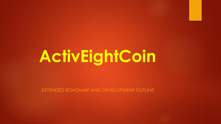# **ActivEightCoin**

EXTENDED ROADMAP AND DEVELOPMENT OUTLINE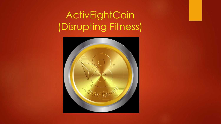# ActivEightCoin (Disrupting Fitness)

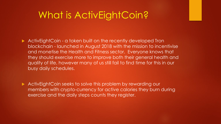#### What is ActivEightCoin?

ActivEightCoin - a token built on the recently developed Tron blockchain - launched in August 2018 with the mission to incentivise and monetise the Health and Fitness sector. Everyone knows that they should exercise more to improve both their general health and quality of life, however many of us still fail to find time for this in our busy daily schedules.

ActivEightCoin seeks to solve this problem by rewarding our members with crypto-currency for active calories they burn during exercise and the daily steps counts they register.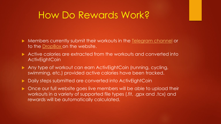#### How Do Rewards Work?

- Members currently submit their workouts in the [Telegram channel](https://t.me/Activ8Coin) or to the [DropBox](https://activ8coin.wixsite.com/activ8/upload) on the website.
- Active calories are extracted from the workouts and converted into **ActivEightCoin**
- Any type of workout can earn ActivEightCoin (running, cycling, swimming, etc.) provided active calories have been tracked.
- Daily steps submitted are converted into ActivEightCoin
- **DIMP ONCE OUT full website goes live members will be able to upload their** workouts in a variety of supported file types (.fit, .gpx and .tcx) and rewards will be automatically calculated.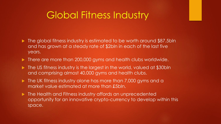#### Global Fitness Industry

- The global fitness industry is estimated to be worth around \$87.5bln and has grown at a steady rate of \$2bln in each of the last five years.
- There are more than 200,000 gyms and health clubs worldwide.
- The US fitness industry is the largest in the world, valued at \$30bln and comprising almost 40,000 gyms and health clubs.
- The UK fitness industry alone has more than 7,000 gyms and a market value estimated at more than £5bln.
- **The Health and Fitness industry affords an unprecedented** opportunity for an innovative crypto-currency to develop within this space.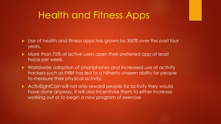#### Health and Fitness Apps

- Use of health and fitness apps has grown by 350% over the past four years.
- More than 75% of active users open their preferred app at least twice per week.
- Worldwide adoption of smartphones and increased use of activity trackers such as FitBit has led to a hitherto unseen ability for people to measure their physical activity.
- ActivEightCoin will not only reward people for activity they would have done anyway, it will also incentivise them to either increase working out or to begin a new program of exercise.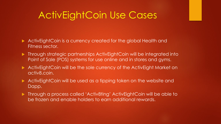### ActivEightCoin Use Cases

- ActivEightCoin is a currency created for the global Health and Fitness sector.
- Through strategic partnerships ActivEightCoin will be integrated into Point of Sale (POS) systems for use online and in stores and gyms.
- ActivEightCoin will be the sole currency of the ActivEight Market on activ8.coin.
- ActivEightCoin will be used as a tipping token on the website and Dapp.
- Through a process called 'Activ8ting' ActivEightCoin will be able to be frozen and enable holders to earn additional rewards.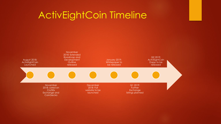### ActivEightCoin Timeline

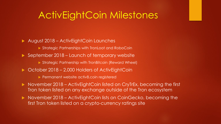#### ActivEightCoin Milestones

- ▶ August 2018 ActivEightCoin Launches
	- Strategic Partnerships with TronLoot and RoboCoin
- ▶ September 2018 Launch of temporary website
	- Strategic Partnership with TronBitcoin (Reward Wheel)
- ▶ October 2018 2,000 Holders of ActivEightCoin
	- ▶ Permanent website activ8.coin registered
- ▶ November 2018 ActivEightCoin listed on CryTrEx, becoming the first Tron token listed on any exchange outside of the Tron ecosystem
- ▶ November 2018 ActivEightCoin lists on CoinGecko, becoming the first Tron token listed on a crypto-currency ratings site